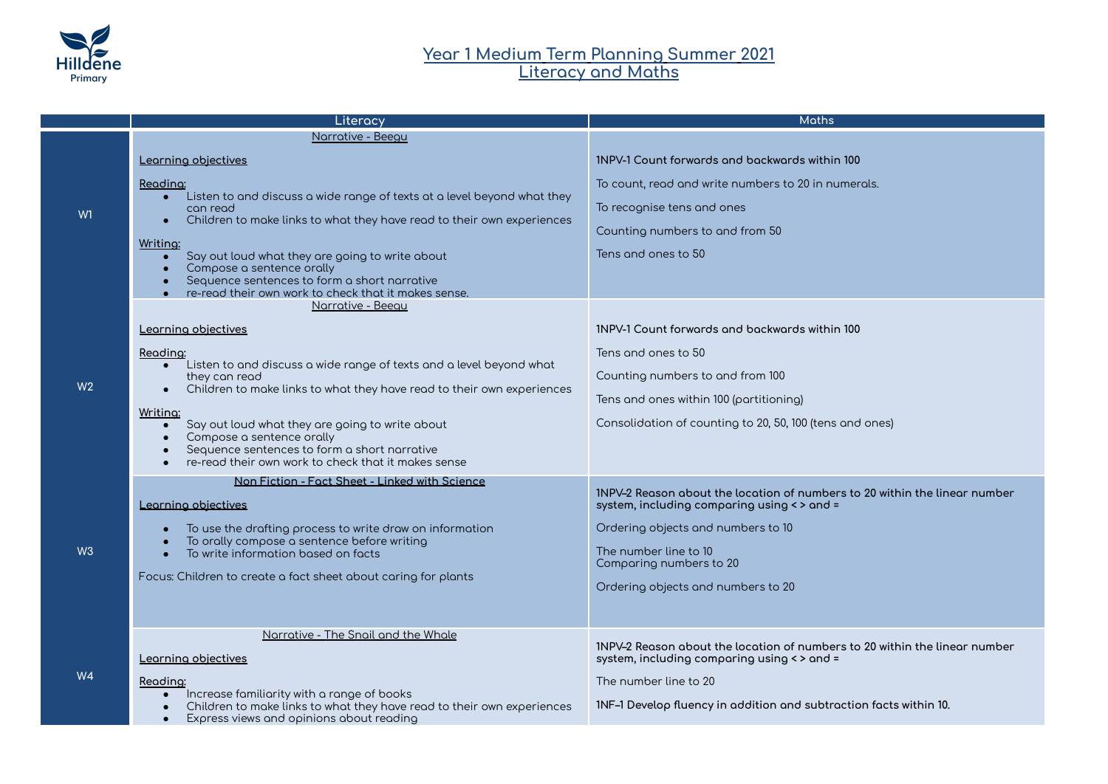

## **Year 1 Medium Term Planning Summer 2021 Literacy and Maths**

|                | Literacy                                                                                                                                                                                         | <b>Maths</b>                                                                                                              |
|----------------|--------------------------------------------------------------------------------------------------------------------------------------------------------------------------------------------------|---------------------------------------------------------------------------------------------------------------------------|
|                | Narrative - Beegu                                                                                                                                                                                |                                                                                                                           |
| W <sub>1</sub> | Learning objectives                                                                                                                                                                              | 1NPV-1 Count forwards and backwards within 100                                                                            |
|                | <u>Reading:</u>                                                                                                                                                                                  | To count, read and write numbers to 20 in numerals.                                                                       |
|                | Listen to and discuss a wide range of texts at a level beyond what they<br>can read                                                                                                              | To recognise tens and ones                                                                                                |
|                | Children to make links to what they have read to their own experiences                                                                                                                           | Counting numbers to and from 50                                                                                           |
|                | Writing:<br>Say out loud what they are going to write about<br>Compose a sentence orally<br>Sequence sentences to form a short narrative                                                         | Tens and ones to 50                                                                                                       |
|                | re-read their own work to check that it makes sense.<br>Narrative - Beegu                                                                                                                        |                                                                                                                           |
|                |                                                                                                                                                                                                  |                                                                                                                           |
| W <sub>2</sub> | Learning objectives                                                                                                                                                                              | 1NPV-1 Count forwards and backwards within 100                                                                            |
|                | Reading:<br>Listen to and discuss a wide range of texts and a level beyond what                                                                                                                  | Tens and ones to 50                                                                                                       |
|                | they can read<br>Children to make links to what they have read to their own experiences                                                                                                          | Counting numbers to and from 100                                                                                          |
|                | Writina:                                                                                                                                                                                         | Tens and ones within 100 (partitioning)                                                                                   |
|                | Say out loud what they are going to write about<br>$\bullet$<br>Compose a sentence orally<br>Sequence sentences to form a short narrative<br>re-read their own work to check that it makes sense | Consolidation of counting to 20, 50, 100 (tens and ones)                                                                  |
|                | Non Fiction - Fact Sheet - Linked with Science                                                                                                                                                   |                                                                                                                           |
|                | Learning objectives                                                                                                                                                                              | 1NPV-2 Reason about the location of numbers to 20 within the linear number<br>system, including comparing using < > and = |
|                | To use the drafting process to write draw on information                                                                                                                                         | Ordering objects and numbers to 10                                                                                        |
| W <sub>3</sub> | To orally compose a sentence before writing<br>To write information based on facts                                                                                                               | The number line to 10<br>Comparing numbers to 20                                                                          |
|                | Focus: Children to create a fact sheet about caring for plants                                                                                                                                   | Ordering objects and numbers to 20                                                                                        |
|                |                                                                                                                                                                                                  |                                                                                                                           |
|                | Narrative - The Snail and the Whale                                                                                                                                                              |                                                                                                                           |
| W <sub>4</sub> |                                                                                                                                                                                                  | 1NPV–2 Reason about the location of numbers to 20 within the linear number                                                |
|                | Learning objectives                                                                                                                                                                              | system, including comparing using < > and =                                                                               |
|                | Reading:<br>Increase familiarity with a range of books                                                                                                                                           | The number line to 20                                                                                                     |
|                | Children to make links to what they have read to their own experiences<br>Express views and opinions about reading                                                                               | 1NF-1 Develop fluency in addition and subtraction facts within 10.                                                        |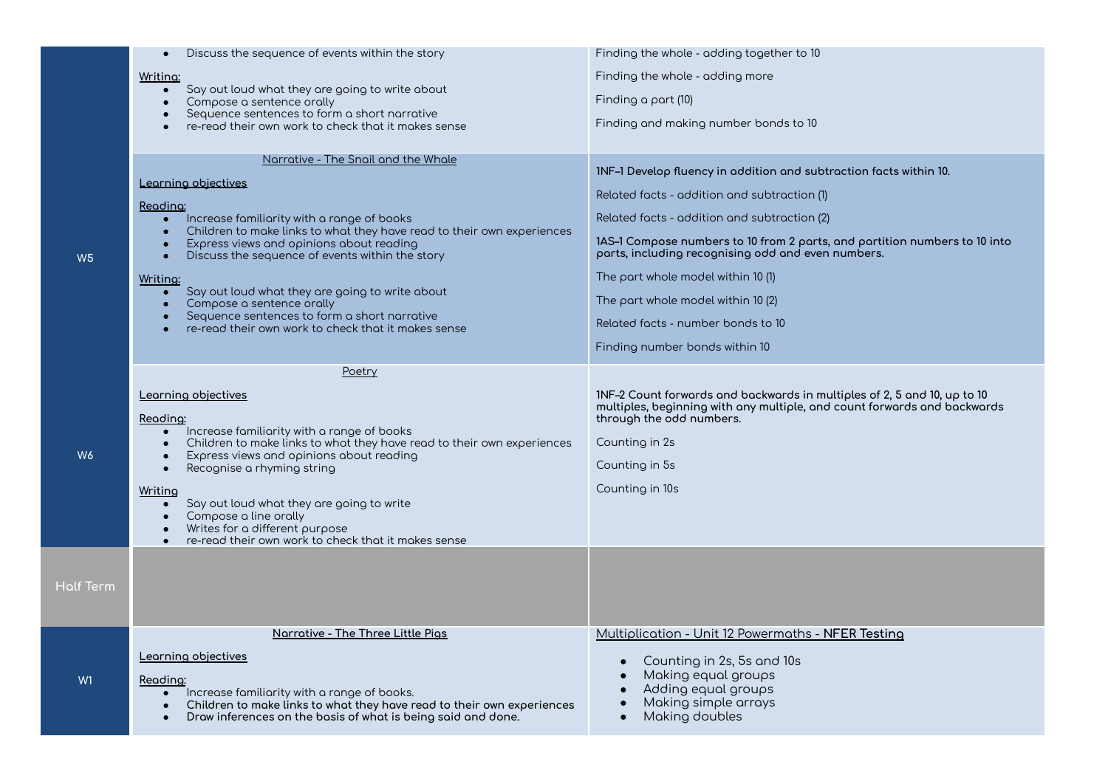|                  | Discuss the sequence of events within the story                                                                                                                                                                     | Finding the whole - adding together to 10                                                                                                                                        |
|------------------|---------------------------------------------------------------------------------------------------------------------------------------------------------------------------------------------------------------------|----------------------------------------------------------------------------------------------------------------------------------------------------------------------------------|
|                  | <u>Writing:</u>                                                                                                                                                                                                     | Finding the whole - adding more                                                                                                                                                  |
|                  | Say out loud what they are going to write about<br>$\bullet$<br>Compose a sentence orally                                                                                                                           | Finding a part (10)                                                                                                                                                              |
|                  | Sequence sentences to form a short narrative<br>re-read their own work to check that it makes sense                                                                                                                 | Finding and making number bonds to 10                                                                                                                                            |
|                  |                                                                                                                                                                                                                     |                                                                                                                                                                                  |
|                  | <u> Narrative - The Snail and the Whale</u>                                                                                                                                                                         | 1NF-1 Develop fluency in addition and subtraction facts within 10.                                                                                                               |
|                  | Learning objectives                                                                                                                                                                                                 |                                                                                                                                                                                  |
|                  | Readina:                                                                                                                                                                                                            | Related facts - addition and subtraction (1)                                                                                                                                     |
|                  | Increase familiarity with a range of books<br>Children to make links to what they have read to their own experiences<br>Express views and opinions about reading<br>Discuss the sequence of events within the story | Related facts - addition and subtraction (2)                                                                                                                                     |
| W <sub>5</sub>   |                                                                                                                                                                                                                     | 1AS–1 Compose numbers to 10 from 2 parts, and partition numbers to 10 into<br>parts, including recognising odd and even numbers.                                                 |
|                  | Writing:                                                                                                                                                                                                            | The part whole model within 10 (1)                                                                                                                                               |
|                  | Say out loud what they are going to write about<br>$\bullet$<br>Compose a sentence orally<br>Sequence sentences to form a short narrative<br>re-read their own work to check that it makes sense                    | The part whole model within 10 (2)                                                                                                                                               |
|                  |                                                                                                                                                                                                                     | Related facts - number bonds to 10                                                                                                                                               |
|                  |                                                                                                                                                                                                                     | Finding number bonds within 10                                                                                                                                                   |
|                  | Poetry                                                                                                                                                                                                              |                                                                                                                                                                                  |
| W <sub>6</sub>   | Learning objectives<br>Reading:<br>Increase familiarity with a range of books                                                                                                                                       | 1NF-2 Count forwards and backwards in multiples of 2, 5 and 10, up to 10<br>multiples, beginning with any multiple, and count forwards and backwards<br>through the odd numbers. |
|                  | Children to make links to what they have read to their own experiences<br>Express views and opinions about reading                                                                                                  | Counting in 2s                                                                                                                                                                   |
|                  | Recognise a rhyming string                                                                                                                                                                                          | Counting in 5s                                                                                                                                                                   |
|                  | Writing                                                                                                                                                                                                             | Counting in 10s                                                                                                                                                                  |
|                  | Say out loud what they are going to write<br>$\bullet$<br>Compose a line orally<br>Writes for a different purpose<br>re-read their own work to check that it makes sense                                            |                                                                                                                                                                                  |
|                  |                                                                                                                                                                                                                     |                                                                                                                                                                                  |
| <b>Half Term</b> |                                                                                                                                                                                                                     |                                                                                                                                                                                  |
|                  |                                                                                                                                                                                                                     |                                                                                                                                                                                  |
|                  |                                                                                                                                                                                                                     |                                                                                                                                                                                  |
|                  | Narrative - The Three Little Pigs                                                                                                                                                                                   | Multiplication - Unit 12 Powermaths - NFER Testing                                                                                                                               |
|                  | Learning objectives                                                                                                                                                                                                 | Counting in 2s, 5s and 10s                                                                                                                                                       |
| W <sub>1</sub>   | Reading:<br>Increase familiarity with a range of books.<br>Children to make links to what they have read to their own experiences                                                                                   | Making equal groups<br>Adding equal groups<br>Making simple arrays                                                                                                               |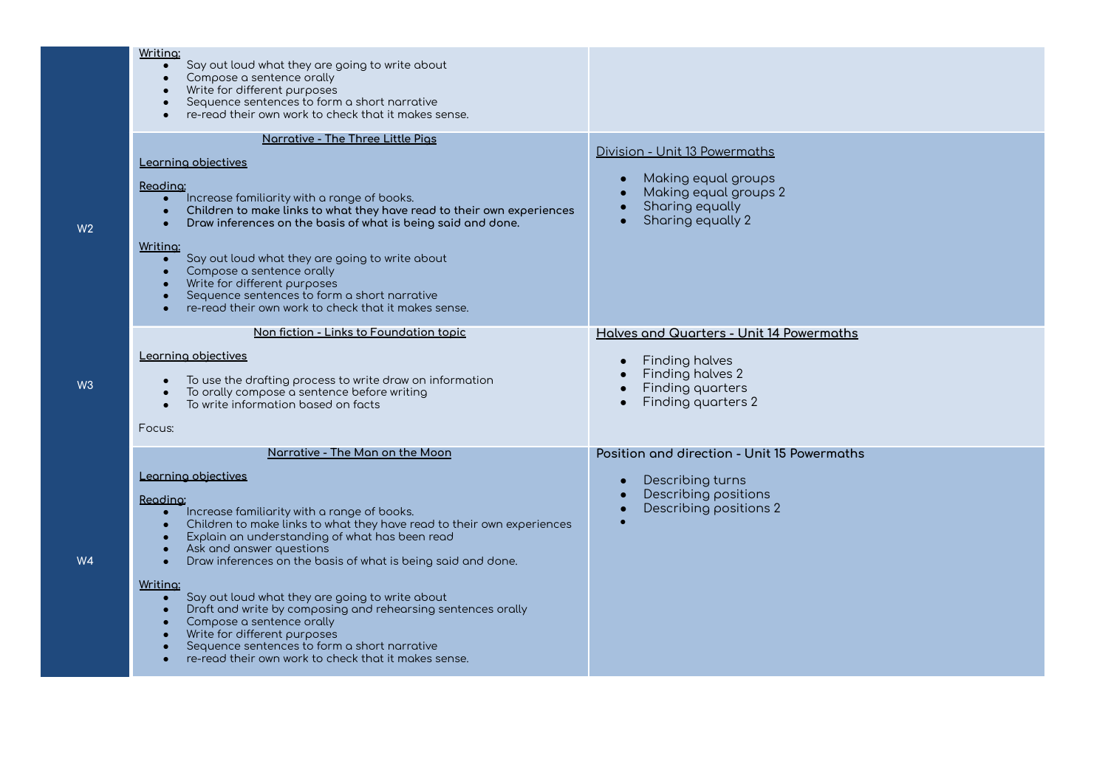| Writing:<br>Say out loud what they are going to write about<br>$\bullet$<br>Compose a sentence orally<br>Write for different purposes<br>Sequence sentences to form a short narrative<br>re-read their own work to check that it makes sense.                                                                                                                                                                                                                                                                                                                                                                                                                                        |                                                                                                                                                    |
|--------------------------------------------------------------------------------------------------------------------------------------------------------------------------------------------------------------------------------------------------------------------------------------------------------------------------------------------------------------------------------------------------------------------------------------------------------------------------------------------------------------------------------------------------------------------------------------------------------------------------------------------------------------------------------------|----------------------------------------------------------------------------------------------------------------------------------------------------|
| Narrative - The Three Little Pigs<br>Learning objectives<br>Reading:<br>Increase familiarity with a range of books.<br>Children to make links to what they have read to their own experiences<br>$\bullet$<br>Draw inferences on the basis of what is being said and done.<br>Writing:<br>Say out loud what they are going to write about<br>$\bullet$<br>Compose a sentence orally<br>$\bullet$<br>Write for different purposes<br>Sequence sentences to form a short narrative<br>re-read their own work to check that it makes sense.                                                                                                                                             | Division - Unit 13 Powermaths<br>Making equal groups<br>Making equal groups 2<br>$\bullet$<br>Sharing equally<br>Sharing equally 2<br>$\bullet$    |
| Non fiction - Links to Foundation topic<br>Learning objectives<br>To use the drafting process to write draw on information<br>To orally compose a sentence before writing<br>To write information based on facts<br>Focus:                                                                                                                                                                                                                                                                                                                                                                                                                                                           | Halves and Quarters - Unit 14 Powermaths<br>Finding halves<br>$\bullet$<br>Finding halves 2<br>Finding quarters<br>$\bullet$<br>Finding quarters 2 |
| Narrative - The Man on the Moon<br>Learning objectives<br>Reading:<br>Increase familiarity with a range of books.<br>$\bullet$<br>Children to make links to what they have read to their own experiences<br>Explain an understanding of what has been read<br>Ask and answer questions<br>Draw inferences on the basis of what is being said and done.<br>Writing:<br>Say out loud what they are going to write about<br>$\bullet$<br>Droft and write by composing and rehearsing sentences orally<br>Compose a sentence orally<br>Write for different purposes<br>Sequence sentences to form a short narrative<br>$\bullet$<br>re-read their own work to check that it makes sense. | Position and direction - Unit 15 Powermaths<br>Describing turns<br>$\bullet$<br>Describing positions<br>Describing positions 2                     |

**W2**

**W3**

**W4**